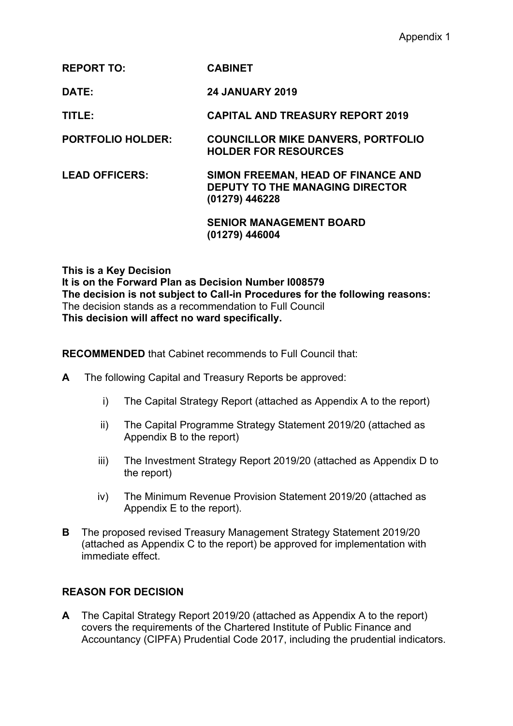### **REPORT TO: CABINET**

**DATE: 24 JANUARY 2019**

**TITLE: CAPITAL AND TREASURY REPORT 2019**

**PORTFOLIO HOLDER: COUNCILLOR MIKE DANVERS, PORTFOLIO HOLDER FOR RESOURCES**

### **LEAD OFFICERS: SIMON FREEMAN, HEAD OF FINANCE AND DEPUTY TO THE MANAGING DIRECTOR (01279) 446228**

**SENIOR MANAGEMENT BOARD (01279) 446004**

**This is a Key Decision It is on the Forward Plan as Decision Number I008579 The decision is not subject to Call-in Procedures for the following reasons:** The decision stands as a recommendation to Full Council **This decision will affect no ward specifically.**

**RECOMMENDED** that Cabinet recommends to Full Council that:

- **A** The following Capital and Treasury Reports be approved:
	- i) The Capital Strategy Report (attached as Appendix A to the report)
	- ii) The Capital Programme Strategy Statement 2019/20 (attached as Appendix B to the report)
	- iii) The Investment Strategy Report 2019/20 (attached as Appendix D to the report)
	- iv) The Minimum Revenue Provision Statement 2019/20 (attached as Appendix E to the report).
- **B** The proposed revised Treasury Management Strategy Statement 2019/20 (attached as Appendix C to the report) be approved for implementation with immediate effect.

#### **REASON FOR DECISION**

**A** The Capital Strategy Report 2019/20 (attached as Appendix A to the report) covers the requirements of the Chartered Institute of Public Finance and Accountancy (CIPFA) Prudential Code 2017, including the prudential indicators.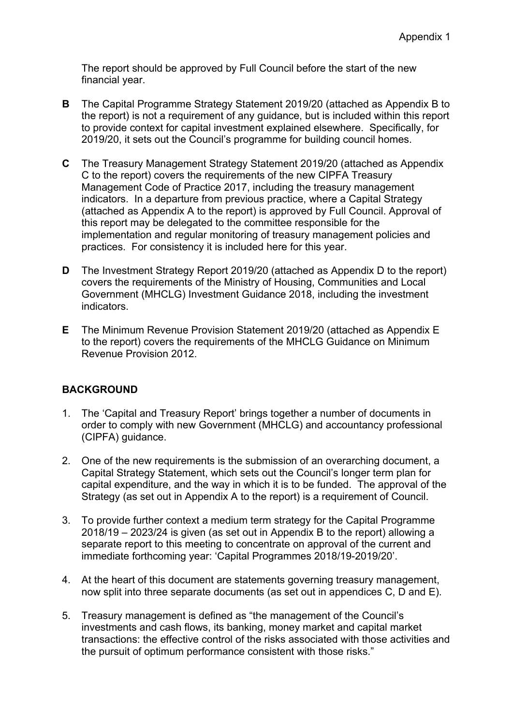The report should be approved by Full Council before the start of the new financial year.

- **B** The Capital Programme Strategy Statement 2019/20 (attached as Appendix B to the report) is not a requirement of any guidance, but is included within this report to provide context for capital investment explained elsewhere. Specifically, for 2019/20, it sets out the Council's programme for building council homes.
- **C** The Treasury Management Strategy Statement 2019/20 (attached as Appendix C to the report) covers the requirements of the new CIPFA Treasury Management Code of Practice 2017, including the treasury management indicators. In a departure from previous practice, where a Capital Strategy (attached as Appendix A to the report) is approved by Full Council. Approval of this report may be delegated to the committee responsible for the implementation and regular monitoring of treasury management policies and practices. For consistency it is included here for this year.
- **D** The Investment Strategy Report 2019/20 (attached as Appendix D to the report) covers the requirements of the Ministry of Housing, Communities and Local Government (MHCLG) Investment Guidance 2018, including the investment indicators.
- **E** The Minimum Revenue Provision Statement 2019/20 (attached as Appendix E to the report) covers the requirements of the MHCLG Guidance on Minimum Revenue Provision 2012.

## **BACKGROUND**

- 1. The 'Capital and Treasury Report' brings together a number of documents in order to comply with new Government (MHCLG) and accountancy professional (CIPFA) guidance.
- 2. One of the new requirements is the submission of an overarching document, a Capital Strategy Statement, which sets out the Council's longer term plan for capital expenditure, and the way in which it is to be funded. The approval of the Strategy (as set out in Appendix A to the report) is a requirement of Council.
- 3. To provide further context a medium term strategy for the Capital Programme 2018/19 – 2023/24 is given (as set out in Appendix B to the report) allowing a separate report to this meeting to concentrate on approval of the current and immediate forthcoming year: 'Capital Programmes 2018/19-2019/20'.
- 4. At the heart of this document are statements governing treasury management, now split into three separate documents (as set out in appendices C, D and E).
- 5. Treasury management is defined as "the management of the Council's investments and cash flows, its banking, money market and capital market transactions: the effective control of the risks associated with those activities and the pursuit of optimum performance consistent with those risks."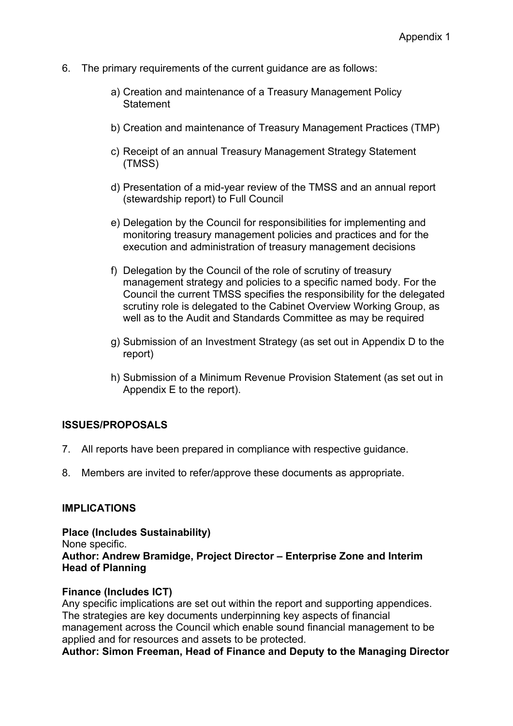- 6. The primary requirements of the current guidance are as follows:
	- a) Creation and maintenance of a Treasury Management Policy **Statement**
	- b) Creation and maintenance of Treasury Management Practices (TMP)
	- c) Receipt of an annual Treasury Management Strategy Statement (TMSS)
	- d) Presentation of a mid-year review of the TMSS and an annual report (stewardship report) to Full Council
	- e) Delegation by the Council for responsibilities for implementing and monitoring treasury management policies and practices and for the execution and administration of treasury management decisions
	- f) Delegation by the Council of the role of scrutiny of treasury management strategy and policies to a specific named body. For the Council the current TMSS specifies the responsibility for the delegated scrutiny role is delegated to the Cabinet Overview Working Group, as well as to the Audit and Standards Committee as may be required
	- g) Submission of an Investment Strategy (as set out in Appendix D to the report)
	- h) Submission of a Minimum Revenue Provision Statement (as set out in Appendix E to the report).

#### **ISSUES/PROPOSALS**

- 7. All reports have been prepared in compliance with respective guidance.
- 8. Members are invited to refer/approve these documents as appropriate.

#### **IMPLICATIONS**

**Place (Includes Sustainability)** None specific. **Author: Andrew Bramidge, Project Director – Enterprise Zone and Interim Head of Planning**

#### **Finance (Includes ICT)**

Any specific implications are set out within the report and supporting appendices. The strategies are key documents underpinning key aspects of financial management across the Council which enable sound financial management to be applied and for resources and assets to be protected.

**Author: Simon Freeman, Head of Finance and Deputy to the Managing Director**